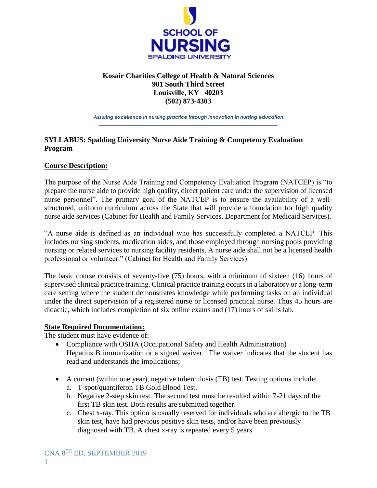

# **Kosair Charities College of Health & Natural Sciences 901 South Third Street Louisville, KY 40203 (502) 873-4303**

*Assuring excellence in nursing practice through innovation in nursing education*

# **SYLLABUS: Spalding University Nurse Aide Training & Competency Evaluation Program**

# **Course Description:**

The purpose of the Nurse Aide Training and Competency Evaluation Program (NATCEP) is "to prepare the nurse aide to provide high quality, direct patient care under the supervision of licensed nurse personnel". The primary goal of the NATCEP is to ensure the availability of a wellstructured, uniform curriculum across the State that will provide a foundation for high quality nurse aide services (Cabinet for Health and Family Services, Department for Medicaid Services).

"A nurse aide is defined as an individual who has successfully completed a NATCEP. This includes nursing students, medication aides, and those employed through nursing pools providing nursing or related services to nursing facility residents. A nurse aide shall not be a licensed health professional or volunteer." (Cabinet for Health and Family Services)

The basic course consists of seventy-five (75) hours, with a minimum of sixteen (16) hours of supervised clinical practice training. Clinical practice training occurs in a laboratory or a long-term care setting where the student demonstrates knowledge while performing tasks on an individual under the direct supervision of a registered nurse or licensed practical nurse. Thus 45 hours are didactic, which includes completion of six online exams and (17) hours of skills lab.

# **State Required Documentation:**

The student must have evidence of:

- Compliance with OSHA (Occupational Safety and Health Administration) Hepatitis B immunization or a signed waiver. The waiver indicates that the student has read and understands the implications;
- A current (within one year), negative tuberculosis (TB) test. Testing options include:
	- a. T-spot/quantiferon TB Gold Blood Test.
	- b. Negative 2-step skin test. The second test must be resulted within 7-21 days of the first TB skin test. Both results are submitted together.
	- c. Chest x-ray. This option is usually reserved for individuals who are allergic to the TB skin test, have had previous positive skin tests, and/or have been previously diagnosed with TB. A chest x-ray is repeated every 5 years.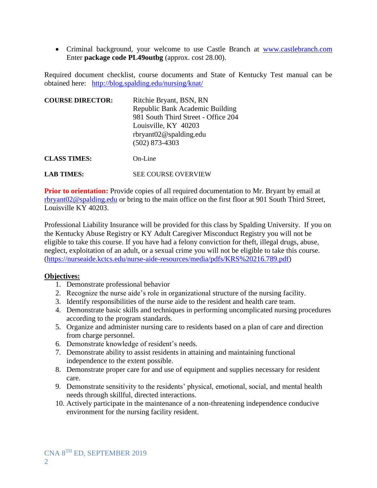• Criminal background, your welcome to use Castle Branch at [www.castlebranch.com](file:///C:/Users/sokeefe/AppData/Local/Microsoft/Windows/INetCache/Content.Outlook/9VYUP406/www.castlebranch.com) Enter **package code PL49outbg** (approx. cost 28.00).

Required document checklist, course documents and State of Kentucky Test manual can be obtained here: <http://blog.spalding.edu/nursing/knat/>

| <b>COURSE DIRECTOR:</b> | Ritchie Bryant, BSN, RN<br>Republic Bank Academic Building<br>981 South Third Street - Office 204<br>Louisville, KY 40203<br>rbryant02@spalding.edu<br>$(502)$ 873-4303 |
|-------------------------|-------------------------------------------------------------------------------------------------------------------------------------------------------------------------|
| <b>CLASS TIMES:</b>     | $On$ -Line                                                                                                                                                              |
| <b>LAR TIMES:</b>       | <b>SEE COURSE OVERVIEW</b>                                                                                                                                              |

**Prior to orientation:** Provide copies of all required documentation to Mr. Bryant by email at [rbryant02@spalding.edu](mailto:rbryant02@spalding.edu) or bring to the main office on the first floor at 901 South Third Street,

Louisville KY 40203.

Professional Liability Insurance will be provided for this class by Spalding University. If you on the Kentucky Abuse Registry or KY Adult Caregiver Misconduct Registry you will not be eligible to take this course. If you have had a felony conviction for theft, illegal drugs, abuse, neglect, exploitation of an adult, or a sexual crime you will not be eligible to take this course. [\(https://nurseaide.kctcs.edu/nurse-aide-resources/media/pdfs/KRS%20216.789.pdf\)](https://nurseaide.kctcs.edu/nurse-aide-resources/media/pdfs/KRS%20216.789.pdf)

#### **Objectives:**

- 1. Demonstrate professional behavior
- 2. Recognize the nurse aide's role in organizational structure of the nursing facility.
- 3. Identify responsibilities of the nurse aide to the resident and health care team.
- 4. Demonstrate basic skills and techniques in performing uncomplicated nursing procedures according to the program standards.
- 5. Organize and administer nursing care to residents based on a plan of care and direction from charge personnel.
- 6. Demonstrate knowledge of resident's needs.
- 7. Demonstrate ability to assist residents in attaining and maintaining functional independence to the extent possible.
- 8. Demonstrate proper care for and use of equipment and supplies necessary for resident care.
- 9. Demonstrate sensitivity to the residents' physical, emotional, social, and mental health needs through skillful, directed interactions.
- 10. Actively participate in the maintenance of a non-threatening independence conducive environment for the nursing facility resident.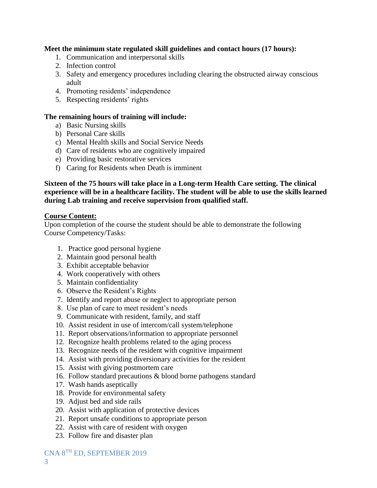#### **Meet the minimum state regulated skill guidelines and contact hours (17 hours):**

- 1. Communication and interpersonal skills
- 2. Infection control
- 3. Safety and emergency procedures including clearing the obstructed airway conscious adult
- 4. Promoting residents' independence
- 5. Respecting residents' rights

#### **The remaining hours of training will include:**

- a) Basic Nursing skills
- b) Personal Care skills
- c) Mental Health skills and Social Service Needs
- d) Care of residents who are cognitively impaired
- e) Providing basic restorative services
- f) Caring for Residents when Death is imminent

**Sixteen of the 75 hours will take place in a Long-term Health Care setting. The clinical experience will be in a healthcare facility. The student will be able to use the skills learned during Lab training and receive supervision from qualified staff.**

#### **Course Content:**

Upon completion of the course the student should be able to demonstrate the following Course Competency/Tasks:

- 1. Practice good personal hygiene
- 2. Maintain good personal health
- 3. Exhibit acceptable behavior
- 4. Work cooperatively with others
- 5. Maintain confidentiality
- 6. Observe the Resident's Rights
- 7. Identify and report abuse or neglect to appropriate person
- 8. Use plan of care to meet resident's needs
- 9. Communicate with resident, family, and staff
- 10. Assist resident in use of intercom/call system/telephone
- 11. Report observations/information to appropriate personnel
- 12. Recognize health problems related to the aging process
- 13. Recognize needs of the resident with cognitive impairment
- 14. Assist with providing diversionary activities for the resident
- 15. Assist with giving postmortem care
- 16. Follow standard precautions & blood borne pathogens standard
- 17. Wash hands aseptically
- 18. Provide for environmental safety
- 19. Adjust bed and side rails
- 20. Assist with application of protective devices
- 21. Report unsafe conditions to appropriate person
- 22. Assist with care of resident with oxygen
- 23. Follow fire and disaster plan

CNA 8 TH ED, SEPTEMBER 2019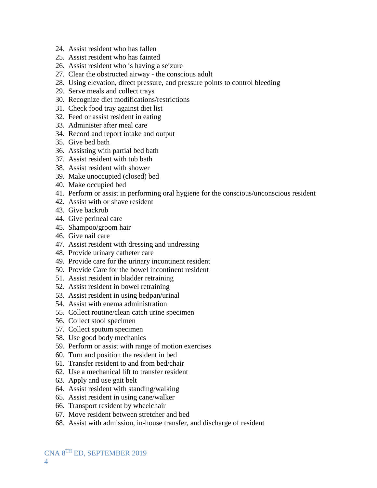- 24. Assist resident who has fallen
- 25. Assist resident who has fainted
- 26. Assist resident who is having a seizure
- 27. Clear the obstructed airway the conscious adult
- 28. Using elevation, direct pressure, and pressure points to control bleeding
- 29. Serve meals and collect trays
- 30. Recognize diet modifications/restrictions
- 31. Check food tray against diet list
- 32. Feed or assist resident in eating
- 33. Administer after meal care
- 34. Record and report intake and output
- 35. Give bed bath
- 36. Assisting with partial bed bath
- 37. Assist resident with tub bath
- 38. Assist resident with shower
- 39. Make unoccupied (closed) bed
- 40. Make occupied bed
- 41. Perform or assist in performing oral hygiene for the conscious/unconscious resident
- 42. Assist with or shave resident
- 43. Give backrub
- 44. Give perineal care
- 45. Shampoo/groom hair
- 46. Give nail care
- 47. Assist resident with dressing and undressing
- 48. Provide urinary catheter care
- 49. Provide care for the urinary incontinent resident
- 50. Provide Care for the bowel incontinent resident
- 51. Assist resident in bladder retraining
- 52. Assist resident in bowel retraining
- 53. Assist resident in using bedpan/urinal
- 54. Assist with enema administration
- 55. Collect routine/clean catch urine specimen
- 56. Collect stool specimen
- 57. Collect sputum specimen
- 58. Use good body mechanics
- 59. Perform or assist with range of motion exercises
- 60. Turn and position the resident in bed
- 61. Transfer resident to and from bed/chair
- 62. Use a mechanical lift to transfer resident
- 63. Apply and use gait belt
- 64. Assist resident with standing/walking
- 65. Assist resident in using cane/walker
- 66. Transport resident by wheelchair
- 67. Move resident between stretcher and bed
- 68. Assist with admission, in-house transfer, and discharge of resident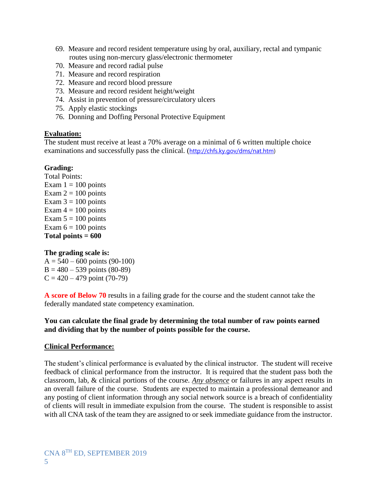- 69. Measure and record resident temperature using by oral, auxiliary, rectal and tympanic routes using non-mercury glass/electronic thermometer
- 70. Measure and record radial pulse
- 71. Measure and record respiration
- 72. Measure and record blood pressure
- 73. Measure and record resident height/weight
- 74. Assist in prevention of pressure/circulatory ulcers
- 75. Apply elastic stockings
- 76. Donning and Doffing Personal Protective Equipment

#### **Evaluation:**

The student must receive at least a 70% average on a minimal of 6 written multiple choice examinations and successfully pass the clinical. ([http://chfs.ky.gov/dms/nat.htm\)](http://chfs.ky.gov/dms/nat.htm)

#### **Grading:**

Total Points: Exam  $1 = 100$  points Exam  $2 = 100$  points Exam  $3 = 100$  points Exam  $4 = 100$  points Exam  $5 = 100$  points Exam  $6 = 100$  points **Total points = 600**

#### **The grading scale is:**

 $A = 540 - 600$  points (90-100)  $B = 480 - 539$  points (80-89)  $C = 420 - 479$  point (70-79)

**A score of Below 70** results in a failing grade for the course and the student cannot take the federally mandated state competency examination.

#### **You can calculate the final grade by determining the total number of raw points earned and dividing that by the number of points possible for the course.**

#### **Clinical Performance:**

The student's clinical performance is evaluated by the clinical instructor. The student will receive feedback of clinical performance from the instructor. It is required that the student pass both the classroom, lab, & clinical portions of the course. *Any absence* or failures in any aspect results in an overall failure of the course. Students are expected to maintain a professional demeanor and any posting of client information through any social network source is a breach of confidentiality of clients will result in immediate expulsion from the course. The student is responsible to assist with all CNA task of the team they are assigned to or seek immediate guidance from the instructor.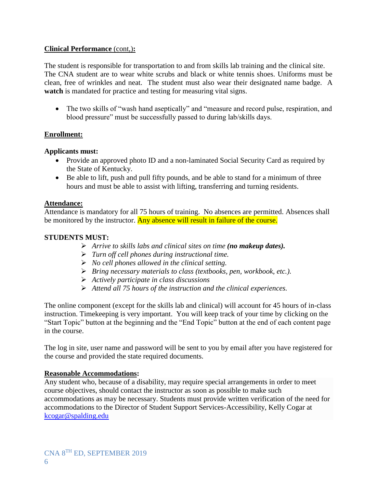#### **Clinical Performance** (cont,)**:**

The student is responsible for transportation to and from skills lab training and the clinical site. The CNA student are to wear white scrubs and black or white tennis shoes. Uniforms must be clean, free of wrinkles and neat. The student must also wear their designated name badge. A **watch** is mandated for practice and testing for measuring vital signs.

• The two skills of "wash hand aseptically" and "measure and record pulse, respiration, and blood pressure" must be successfully passed to during lab/skills days.

# **Enrollment:**

#### **Applicants must:**

- Provide an approved photo ID and a non-laminated Social Security Card as required by the State of Kentucky.
- Be able to lift, push and pull fifty pounds, and be able to stand for a minimum of three hours and must be able to assist with lifting, transferring and turning residents.

#### **Attendance:**

Attendance is mandatory for all 75 hours of training. No absences are permitted. Absences shall be monitored by the instructor. Any absence will result in failure of the course.

#### **STUDENTS MUST:**

- *Arrive to skills labs and clinical sites on time (no makeup dates).*
- *Turn off cell phones during instructional time.*
- *No cell phones allowed in the clinical setting.*
- *Bring necessary materials to class (textbooks, pen, workbook, etc.).*
- *Actively participate in class discussions*
- *Attend all 75 hours of the instruction and the clinical experiences.*

The online component (except for the skills lab and clinical) will account for 45 hours of in-class instruction. Timekeeping is very important. You will keep track of your time by clicking on the "Start Topic" button at the beginning and the "End Topic" button at the end of each content page in the course.

The log in site, user name and password will be sent to you by email after you have registered for the course and provided the state required documents.

#### **Reasonable Accommodations:**

Any student who, because of a disability, may require special arrangements in order to meet course objectives, should contact the instructor as soon as possible to make such accommodations as may be necessary. Students must provide written verification of the need for accommodations to the Director of Student Support Services-Accessibility, Kelly Cogar at [kcogar@spalding.edu](mailto:kcogar@spalding.edu)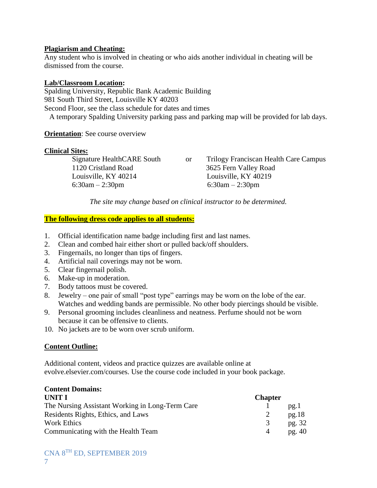#### **Plagiarism and Cheating:**

Any student who is involved in cheating or who aids another individual in cheating will be dismissed from the course.

#### **Lab/Classroom Location:**

Spalding University, Republic Bank Academic Building 981 South Third Street, Louisville KY 40203 Second Floor, see the class schedule for dates and times A temporary Spalding University parking pass and parking map will be provided for lab days.

#### **Orientation**: See course overview

#### **Clinical Sites:**

 1120 Cristland Road 3625 Fern Valley Road Louisville, KY 40214 Louisville, KY 40219 6:30am – 2:30pm 6:30am – 2:30pm

Signature HealthCARE South or Trilogy Franciscan Health Care Campus

*The site may change based on clinical instructor to be determined.*

#### **The following dress code applies to all students:**

- 1. Official identification name badge including first and last names.
- 2. Clean and combed hair either short or pulled back/off shoulders.
- 3. Fingernails, no longer than tips of fingers.
- 4. Artificial nail coverings may not be worn.
- 5. Clear fingernail polish.
- 6. Make-up in moderation.
- 7. Body tattoos must be covered.
- 8. Jewelry one pair of small "post type" earrings may be worn on the lobe of the ear. Watches and wedding bands are permissible. No other body piercings should be visible.
- 9. Personal grooming includes cleanliness and neatness. Perfume should not be worn because it can be offensive to clients.
- 10. No jackets are to be worn over scrub uniform.

#### **Content Outline:**

Additional content, videos and practice quizzes are available online at evolve.elsevier.com/courses. Use the course code included in your book package.

# **Content Domains:**

| UNIT I                                          | <b>Chapter</b> |                   |
|-------------------------------------------------|----------------|-------------------|
| The Nursing Assistant Working in Long-Term Care |                | $p\mathfrak{g}.1$ |
| Residents Rights, Ethics, and Laws              |                | pg.18             |
| Work Ethics                                     |                | pg. 32            |
| Communicating with the Health Team              |                | pg. 40            |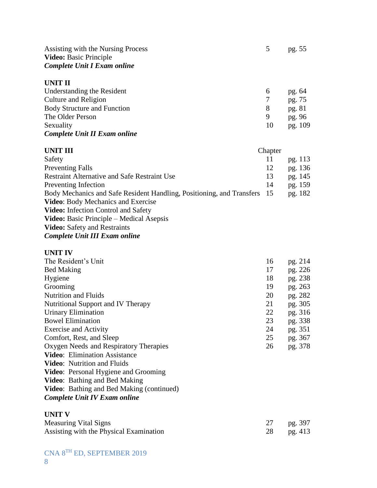| Assisting with the Nursing Process<br><b>Video:</b> Basic Principle<br><b>Complete Unit I Exam online</b> |   | pg. 55 |
|-----------------------------------------------------------------------------------------------------------|---|--------|
| UNIT II                                                                                                   |   |        |
| Understanding the Resident                                                                                | 6 | pg. 64 |
| Culture and Religion                                                                                      |   | pg. 75 |
| <b>Body Structure and Function</b>                                                                        | 8 | pg. 81 |

#### The Older Person 9 pg. 96 Sexuality 10 pg. 109 *Complete Unit II Exam online*

# **UNIT III** Chapter Safety 11 pg. 113 Preventing Falls 12 pg. 136 Restraint Alternative and Safe Restraint Use 13 pg. 145 Preventing Infection 14 pg. 159 Body Mechanics and Safe Resident Handling, Positioning, and Transfers 15 pg. 182 **Video**: Body Mechanics and Exercise **Video:** Infection Control and Safety **Video:** Basic Principle – Medical Asepsis **Video:** Safety and Restraints *Complete Unit III Exam online*

#### **UNIT IV**

| The Resident's Unit                                                              | 16            | pg. 214 |
|----------------------------------------------------------------------------------|---------------|---------|
| <b>Bed Making</b>                                                                | 17            | pg. 226 |
| Hygiene                                                                          | 18            | pg. 238 |
| Grooming                                                                         | 19            | pg. 263 |
| <b>Nutrition and Fluids</b>                                                      | 20            | pg. 282 |
| Nutritional Support and IV Therapy                                               | 21            | pg. 305 |
| Urinary Elimination                                                              | 22            | pg. 316 |
| <b>Bowel Elimination</b>                                                         | 23            | pg. 338 |
| <b>Exercise and Activity</b>                                                     | 24            | pg. 351 |
| Comfort, Rest, and Sleep                                                         | 25            | pg. 367 |
| Oxygen Needs and Respiratory Therapies                                           | 26            | pg. 378 |
| <b>Video:</b> Elimination Assistance                                             |               |         |
| <b>Video:</b> Nutrition and Fluids                                               |               |         |
| <b>Video:</b> Personal Hygiene and Grooming                                      |               |         |
| <b>Video:</b> Bathing and Bed Making                                             |               |         |
| Video: Bathing and Bed Making (continued)                                        |               |         |
| <b>Complete Unit IV Exam online</b>                                              |               |         |
| <b>UNIT V</b>                                                                    |               |         |
| $M_{\rm{2}}$ $\sim$ $\sim$ $M_{\rm{2}}$ $\sim$ $M_{\rm{2}}$ $\sim$ $\sim$ $\sim$ | $\mathcal{L}$ | 207     |

| <b>Measuring Vital Signs</b>            | pg. 397 |
|-----------------------------------------|---------|
| Assisting with the Physical Examination | pg. 413 |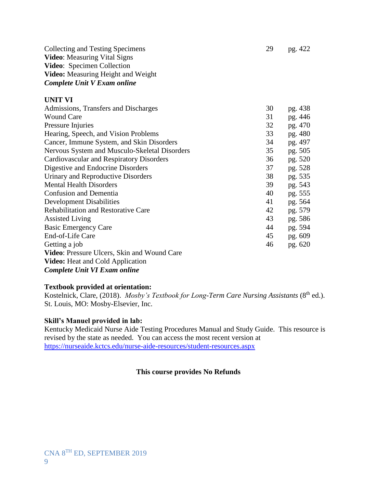Collecting and Testing Specimens 29 pg. 422 **Video**: Measuring Vital Signs **Video**: Specimen Collection **Video:** Measuring Height and Weight *Complete Unit V Exam online*

#### **UNIT VI**

| Admissions, Transfers and Discharges          | 30 | pg. 438 |
|-----------------------------------------------|----|---------|
| <b>Wound Care</b>                             | 31 | pg. 446 |
| Pressure Injuries                             | 32 | pg. 470 |
| Hearing, Speech, and Vision Problems          | 33 | pg. 480 |
| Cancer, Immune System, and Skin Disorders     | 34 | pg. 497 |
| Nervous System and Musculo-Skeletal Disorders | 35 | pg. 505 |
| Cardiovascular and Respiratory Disorders      | 36 | pg. 520 |
| Digestive and Endocrine Disorders             | 37 | pg. 528 |
| Urinary and Reproductive Disorders            | 38 | pg. 535 |
| <b>Mental Health Disorders</b>                | 39 | pg. 543 |
| <b>Confusion and Dementia</b>                 | 40 | pg. 555 |
| <b>Development Disabilities</b>               | 41 | pg. 564 |
| <b>Rehabilitation and Restorative Care</b>    | 42 | pg. 579 |
| <b>Assisted Living</b>                        | 43 | pg. 586 |
| <b>Basic Emergency Care</b>                   | 44 | pg. 594 |
| End-of-Life Care                              | 45 | pg. 609 |
| Getting a job                                 | 46 | pg. 620 |
| Video: Pressure Ulcers, Skin and Wound Care   |    |         |
| <b>Video:</b> Heat and Cold Application       |    |         |
|                                               |    |         |

*Complete Unit VI Exam online*

#### **Textbook provided at orientation:**

Kostelnick, Clare, (2018). *Mosby's Textbook for Long-Term Care Nursing Assistants* (8<sup>th</sup> ed.). St. Louis, MO: Mosby-Elsevier, Inc.

# **Skill's Manuel provided in lab:**

Kentucky Medicaid Nurse Aide Testing Procedures Manual and Study Guide. This resource is revised by the state as needed. You can access the most recent version at <https://nurseaide.kctcs.edu/nurse-aide-resources/student-resources.aspx>

# **This course provides No Refunds**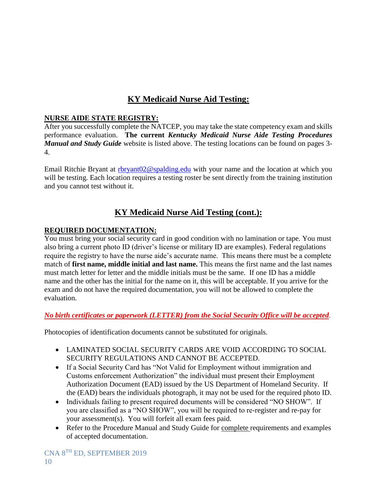# **KY Medicaid Nurse Aid Testing:**

# **NURSE AIDE STATE REGISTRY:**

After you successfully complete the NATCEP, you may take the state competency exam and skills performance evaluation. **The current** *Kentucky Medicaid Nurse Aide Testing Procedures Manual and Study Guide* website is listed above. The testing locations can be found on pages 3- 4.

Email Ritchie Bryant at [rbryant02@spalding.edu](mailto:rbryant02@spalding.edu) with your name and the location at which you will be testing. Each location requires a testing roster be sent directly from the training institution and you cannot test without it.

# **KY Medicaid Nurse Aid Testing (cont.):**

# **REQUIRED DOCUMENTATION:**

You must bring your social security card in good condition with no lamination or tape. You must also bring a current photo ID (driver's license or military ID are examples). Federal regulations require the registry to have the nurse aide's accurate name. This means there must be a complete match of **first name, middle initial and last name.** This means the first name and the last names must match letter for letter and the middle initials must be the same. If one ID has a middle name and the other has the initial for the name on it, this will be acceptable. If you arrive for the exam and do not have the required documentation, you will not be allowed to complete the evaluation.

# *No birth certificates or paperwork (LETTER) from the Social Security Office will be accepted.*

Photocopies of identification documents cannot be substituted for originals.

- LAMINATED SOCIAL SECURITY CARDS ARE VOID ACCORDING TO SOCIAL SECURITY REGULATIONS AND CANNOT BE ACCEPTED.
- If a Social Security Card has "Not Valid for Employment without immigration and Customs enforcement Authorization" the individual must present their Employment Authorization Document (EAD) issued by the US Department of Homeland Security. If the (EAD) bears the individuals photograph, it may not be used for the required photo ID.
- Individuals failing to present required documents will be considered "NO SHOW". If you are classified as a "NO SHOW", you will be required to re-register and re-pay for your assessment(s). You will forfeit all exam fees paid.
- Refer to the Procedure Manual and Study Guide for complete requirements and examples of accepted documentation.